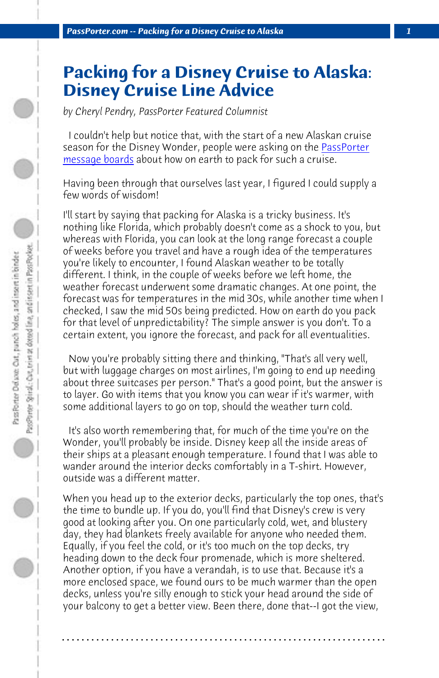*PassPorter.com -- Packing for a Disney Cruise to Alaska 1*

## **Packing for a Disney Cruise to Alaska: Disney Cruise Line Advice**

*by Cheryl Pendry, PassPorter Featured Columnist*

 I couldn't help but notice that, with the start of a new Alaskan cruise season for the Disney Wonder, people were asking on the PassPorter message boards about how on earth to pack for such a cruise.

Having been through that ourselves last year, I figured I could supply a few words of wisdom!

I'll start by saying that packing for Alaska is a tricky business. It's nothing like Florida, which probably doesn't come as a shock to you, but whereas with Florida, you can look at the long range forecast a couple of weeks before you travel and have a rough idea of the temperatures you're likely to encounter, I found Alaskan weather to be totally different. I think, in the couple of weeks before we left home, the weather forecast underwent some dramatic changes. At one point, the forecast was for temperatures in the mid 30s, while another time when I checked, I saw the mid 50s being predicted. How on earth do you pack for that level of unpredictability? The simple answer is you don't. To a certain extent, you ignore the forecast, and pack for all eventualities.

 Now you're probably sitting there and thinking, "That's all very well, but with luggage charges on most airlines, I'm going to end up needing about three suitcases per person." That's a good point, but the answer is to layer. Go with items that you know you can wear if it's warmer, with some additional layers to go on top, should the weather turn cold.

 It's also worth remembering that, for much of the time you're on the Wonder, you'll probably be inside. Disney keep all the inside areas of their ships at a pleasant enough temperature. I found that I was able to wander around the interior decks comfortably in a T-shirt. However, outside was a different matter.

When you head up to the exterior decks, particularly the top ones, that's the time to bundle up. If you do, you'll find that Disney's crew is very good at looking after you. On one particularly cold, wet, and blustery day, they had blankets freely available for anyone who needed them. Equally, if you feel the cold, or it's too much on the top decks, try heading down to the deck four promenade, which is more sheltered. Another option, if you have a verandah, is to use that. Because it's a more enclosed space, we found ours to be much warmer than the open decks, unless you're silly enough to stick your head around the side of your balcony to get a better view. Been there, done that--I got the view,

**. . . . . . . . . . . . . . . . . . . . . . . . . . . . . . . . . . . . . . . . . . . . . . . . . . . . . . . . . . . . . . . . . .**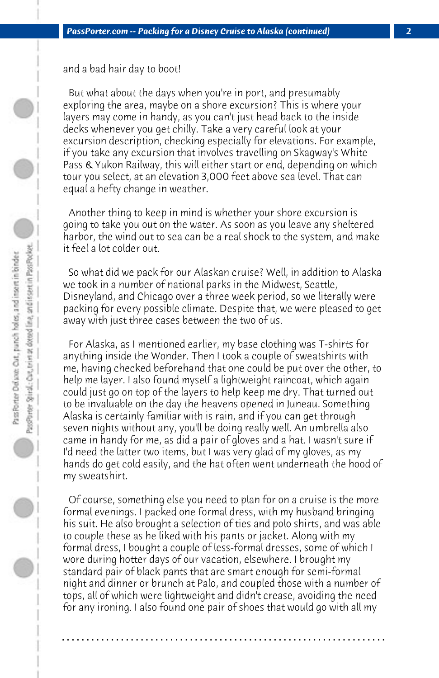and a bad hair day to boot!

 But what about the days when you're in port, and presumably exploring the area, maybe on a shore excursion? This is where your layers may come in handy, as you can't just head back to the inside decks whenever you get chilly. Take a very careful look at your excursion description, checking especially for elevations. For example, if you take any excursion that involves travelling on Skagway's White Pass & Yukon Railway, this will either start or end, depending on which tour you select, at an elevation 3,000 feet above sea level. That can equal a hefty change in weather.

 Another thing to keep in mind is whether your shore excursion is going to take you out on the water. As soon as you leave any sheltered harbor, the wind out to sea can be a real shock to the system, and make it feel a lot colder out.

 So what did we pack for our Alaskan cruise? Well, in addition to Alaska we took in a number of national parks in the Midwest, Seattle, Disneyland, and Chicago over a three week period, so we literally were packing for every possible climate. Despite that, we were pleased to get away with just three cases between the two of us.

 For Alaska, as I mentioned earlier, my base clothing was T-shirts for anything inside the Wonder. Then I took a couple of sweatshirts with me, having checked beforehand that one could be put over the other, to help me layer. I also found myself a lightweight raincoat, which again could just go on top of the layers to help keep me dry. That turned out to be invaluable on the day the heavens opened in Juneau. Something Alaska is certainly familiar with is rain, and if you can get through seven nights without any, you'll be doing really well. An umbrella also came in handy for me, as did a pair of gloves and a hat. I wasn't sure if I'd need the latter two items, but I was very glad of my gloves, as my hands do get cold easily, and the hat often went underneath the hood of my sweatshirt.

 Of course, something else you need to plan for on a cruise is the more formal evenings. I packed one formal dress, with my husband bringing his suit. He also brought a selection of ties and polo shirts, and was able to couple these as he liked with his pants or jacket. Along with my formal dress, I bought a couple of less-formal dresses, some of which I wore during hotter days of our vacation, elsewhere. I brought my standard pair of black pants that are smart enough for semi-formal night and dinner or brunch at Palo, and coupled those with a number of tops, all of which were lightweight and didn't crease, avoiding the need for any ironing. I also found one pair of shoes that would go with all my

**. . . . . . . . . . . . . . . . . . . . . . . . . . . . . . . . . . . . . . . . . . . . . . . . . . . . . . . . . . . . . . . . . .**